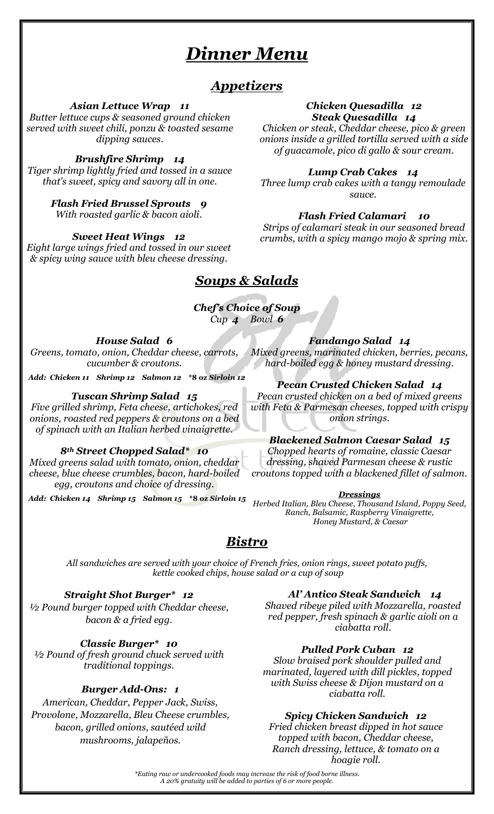# *Dinner Menu*

# *Appetizers*

*Asian Lettuce Wrap 11*

*Butter lettuce cups & seasoned ground chicken served with sweet chili, ponzu & toasted sesame dipping sauces.*

#### *Brushfire Shrimp 14*

*Tiger shrimp lightly fried and tossed in a sauce that's sweet, spicy and savory all in one.*

> *Flash Fried Brussel Sprouts 9 With roasted garlic & bacon aioli.*

*Sweet Heat Wings 12 Eight large wings fried and tossed in our sweet & spicy wing sauce with bleu cheese dressing.*

# *Soups & Salads*

#### *Chef's Choice of Soup Cup 4 Bowl 6*

*House Salad 6*

*Greens, tomato, onion, Cheddar cheese, carrots, cucumber & croutons.*

*Add: Chicken 11 Shrimp 12 Salmon 12* **\*8 oz** *Sirloin 12*

#### *Tuscan Shrimp Salad 15*

*Five grilled shrimp, Feta cheese, artichokes, red onions, roasted red peppers & croutons on a bed of spinach with an Italian herbed vinaigrette.*

#### *8th Street Chopped Salad\* 10*

*Mixed greens salad with tomato, onion, cheddar cheese, blue cheese crumbles, bacon, hard-boiled egg, croutons and choice of dressing.*

*Add: Chicken 14 Shrimp 15 Salmon 15* **\*8 oz** *Sirloin 15*

#### *Chicken Quesadilla 12 Steak Quesadilla 14*

*Chicken or steak, Cheddar cheese, pico & green onions inside a grilled tortilla served with a side of guacamole, pico di gallo & sour cream.*

#### *Lump Crab Cakes 14*

*Three lump crab cakes with a tangy remoulade sauce.*

#### *Flash Fried Calamari 10*

*Strips of calamari steak in our seasoned bread crumbs, with a spicy mango mojo & spring mix.*

*Fandango Salad 14*

*Mixed greens, marinated chicken, berries, pecans, hard-boiled egg & honey mustard dressing.*

#### *Pecan Crusted Chicken Salad 14*

*Pecan crusted chicken on a bed of mixed greens with Feta & Parmesan cheeses, topped with crispy onion strings.*

#### *Blackened Salmon Caesar Salad 15*

*Chopped hearts of romaine, classic Caesar dressing, shaved Parmesan cheese & rustic croutons topped with a blackened fillet of salmon.*

#### *Dressings*

*Herbed Italian, Bleu Cheese, Thousand Island, Poppy Seed, Ranch, Balsamic, Raspberry Vinaigrette, Honey Mustard, & Caesar*

# *Bistro*

*All sandwiches are served with your choice of French fries, onion rings, sweet potato puffs, kettle cooked chips, house salad or a cup of soup*

#### *Straight Shot Burger\* 12*

*½ Pound burger topped with Cheddar cheese, bacon & a fried egg.*

*Classic Burger\* 10*

*½ Pound of fresh ground chuck served with traditional toppings.*

#### *Burger Add-Ons: 1*

*American, Cheddar, Pepper Jack, Swiss, Provolone, Mozzarella, Bleu Cheese crumbles, bacon, grilled onions, sautéed wild mushrooms, jalapeños.*

#### *Al' Antico Steak Sandwich 14*

*Shaved ribeye piled with Mozzarella, roasted red pepper, fresh spinach & garlic aioli on a ciabatta roll.*

#### *Pulled Pork Cuban 12*

*Slow braised pork shoulder pulled and marinated, layered with dill pickles, topped with Swiss cheese & Dijon mustard on a ciabatta roll.*

#### *Spicy Chicken Sandwich 12*

*Fried chicken breast dipped in hot sauce topped with bacon, Cheddar cheese, Ranch dressing, lettuce, & tomato on a hoagie roll.* 

*\*Eating raw or undercooked foods may increase the risk of food borne illness. A 20% gratuity will be added to parties of 6 or more people.*